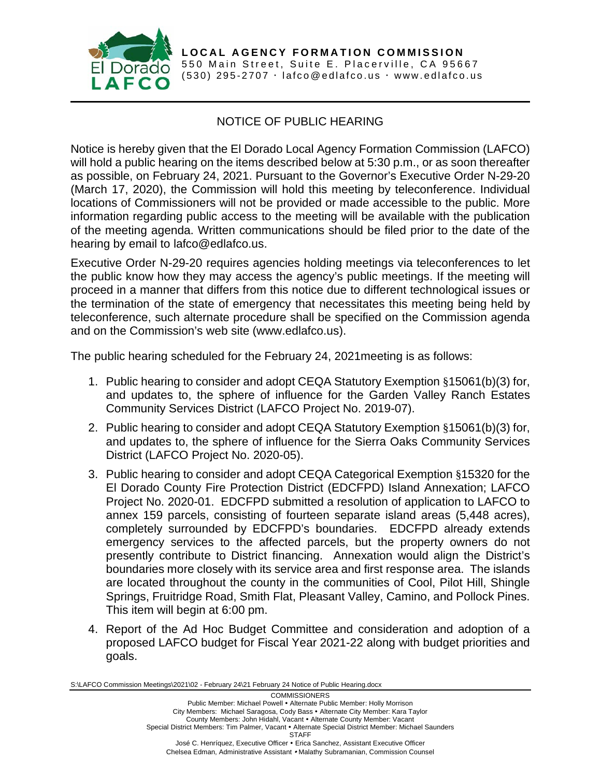

**LOCAL AGENCY FORMATION COMMISSION** 550 Main Street, Suite E. Placerville, CA 95667 (530) 295-2707  $\cdot$  [lafco@edlafco.us](mailto:lafco@edlafco.us)  $\cdot$  www.edlafco.us

## NOTICE OF PUBLIC HEARING

Notice is hereby given that the El Dorado Local Agency Formation Commission (LAFCO) will hold a public hearing on the items described below at 5:30 p.m., or as soon thereafter as possible, on February 24, 2021. Pursuant to the Governor's Executive Order N-29-20 (March 17, 2020), the Commission will hold this meeting by teleconference. Individual locations of Commissioners will not be provided or made accessible to the public. More information regarding public access to the meeting will be available with the publication of the meeting agenda. Written communications should be filed prior to the date of the hearing by email to lafco@edlafco.us.

Executive Order N-29-20 requires agencies holding meetings via teleconferences to let the public know how they may access the agency's public meetings. If the meeting will proceed in a manner that differs from this notice due to different technological issues or the termination of the state of emergency that necessitates this meeting being held by teleconference, such alternate procedure shall be specified on the Commission agenda and on the Commission's web site (www.edlafco.us).

The public hearing scheduled for the February 24, 2021meeting is as follows:

- 1. Public hearing to consider and adopt CEQA Statutory Exemption §15061(b)(3) for, and updates to, the sphere of influence for the Garden Valley Ranch Estates Community Services District (LAFCO Project No. 2019-07).
- 2. Public hearing to consider and adopt CEQA Statutory Exemption §15061(b)(3) for, and updates to, the sphere of influence for the Sierra Oaks Community Services District (LAFCO Project No. 2020-05).
- 3. Public hearing to consider and adopt CEQA Categorical Exemption §15320 for the El Dorado County Fire Protection District (EDCFPD) Island Annexation; LAFCO Project No. 2020-01. EDCFPD submitted a resolution of application to LAFCO to annex 159 parcels, consisting of fourteen separate island areas (5,448 acres), completely surrounded by EDCFPD's boundaries. EDCFPD already extends emergency services to the affected parcels, but the property owners do not presently contribute to District financing. Annexation would align the District's boundaries more closely with its service area and first response area. The islands are located throughout the county in the communities of Cool, Pilot Hill, Shingle Springs, Fruitridge Road, Smith Flat, Pleasant Valley, Camino, and Pollock Pines. This item will begin at 6:00 pm.
- 4. Report of the Ad Hoc Budget Committee and consideration and adoption of a proposed LAFCO budget for Fiscal Year 2021-22 along with budget priorities and goals.

S:\LAFCO Commission Meetings\2021\02 - February 24\21 February 24 Notice of Public Hearing.docx